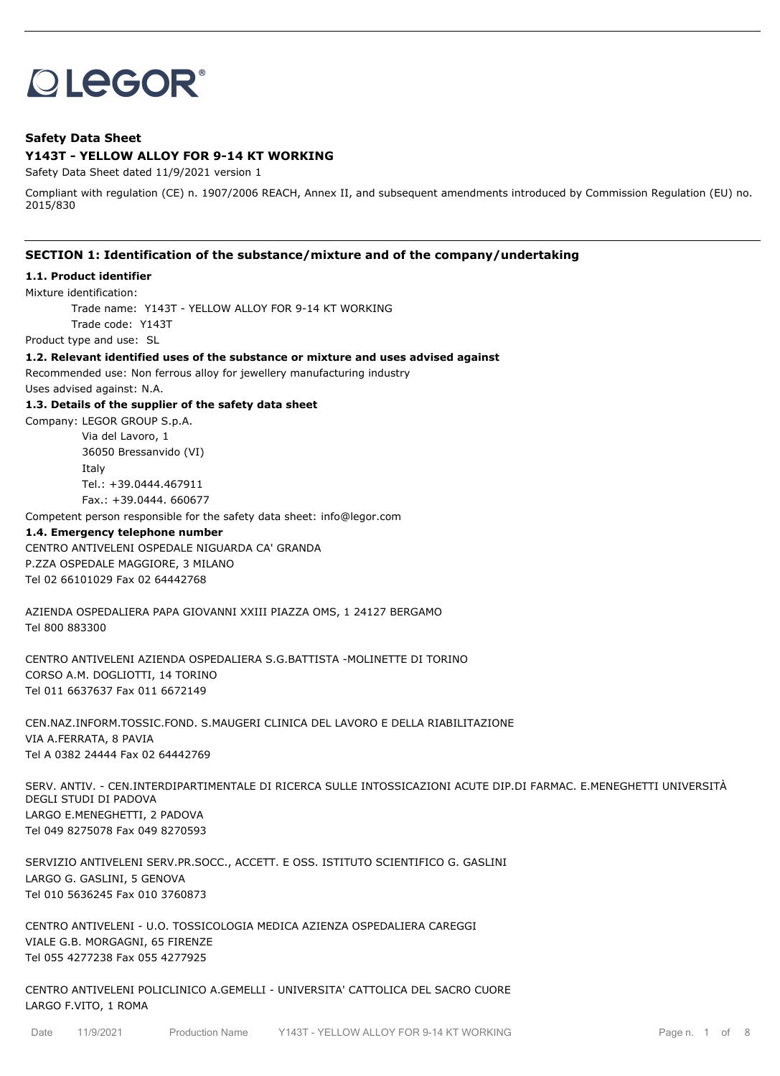# **OLEGOR®**

# **Safety Data Sheet**

# **Y143T - YELLOW ALLOY FOR 9-14 KT WORKING**

Safety Data Sheet dated 11/9/2021 version 1

Compliant with regulation (CE) n. 1907/2006 REACH, Annex II, and subsequent amendments introduced by Commission Regulation (EU) no. 2015/830

## **SECTION 1: Identification of the substance/mixture and of the company/undertaking**

#### **1.1. Product identifier**

Mixture identification:

Trade name: Y143T - YELLOW ALLOY FOR 9-14 KT WORKING Trade code: Y143T

Product type and use: SL

**1.2. Relevant identified uses of the substance or mixture and uses advised against**

Recommended use: Non ferrous alloy for jewellery manufacturing industry

Uses advised against: N.A.

#### **1.3. Details of the supplier of the safety data sheet**

Company: LEGOR GROUP S.p.A. Via del Lavoro, 1 36050 Bressanvido (VI) Italy Tel.: +39.0444.467911 Fax.: +39.0444. 660677

Competent person responsible for the safety data sheet: info@legor.com

#### **1.4. Emergency telephone number**

CENTRO ANTIVELENI OSPEDALE NIGUARDA CA' GRANDA P.ZZA OSPEDALE MAGGIORE, 3 MILANO Tel 02 66101029 Fax 02 64442768

AZIENDA OSPEDALIERA PAPA GIOVANNI XXIII PIAZZA OMS, 1 24127 BERGAMO Tel 800 883300

CENTRO ANTIVELENI AZIENDA OSPEDALIERA S.G.BATTISTA -MOLINETTE DI TORINO CORSO A.M. DOGLIOTTI, 14 TORINO Tel 011 6637637 Fax 011 6672149

CEN.NAZ.INFORM.TOSSIC.FOND. S.MAUGERI CLINICA DEL LAVORO E DELLA RIABILITAZIONE VIA A.FERRATA, 8 PAVIA Tel A 0382 24444 Fax 02 64442769

SERV. ANTIV. - CEN.INTERDIPARTIMENTALE DI RICERCA SULLE INTOSSICAZIONI ACUTE DIP.DI FARMAC. E.MENEGHETTI UNIVERSITÀ DEGLI STUDI DI PADOVA LARGO E.MENEGHETTI, 2 PADOVA Tel 049 8275078 Fax 049 8270593

SERVIZIO ANTIVELENI SERV.PR.SOCC., ACCETT. E OSS. ISTITUTO SCIENTIFICO G. GASLINI LARGO G. GASLINI, 5 GENOVA Tel 010 5636245 Fax 010 3760873

CENTRO ANTIVELENI - U.O. TOSSICOLOGIA MEDICA AZIENZA OSPEDALIERA CAREGGI VIALE G.B. MORGAGNI, 65 FIRENZE Tel 055 4277238 Fax 055 4277925

CENTRO ANTIVELENI POLICLINICO A.GEMELLI - UNIVERSITA' CATTOLICA DEL SACRO CUORE LARGO F.VITO, 1 ROMA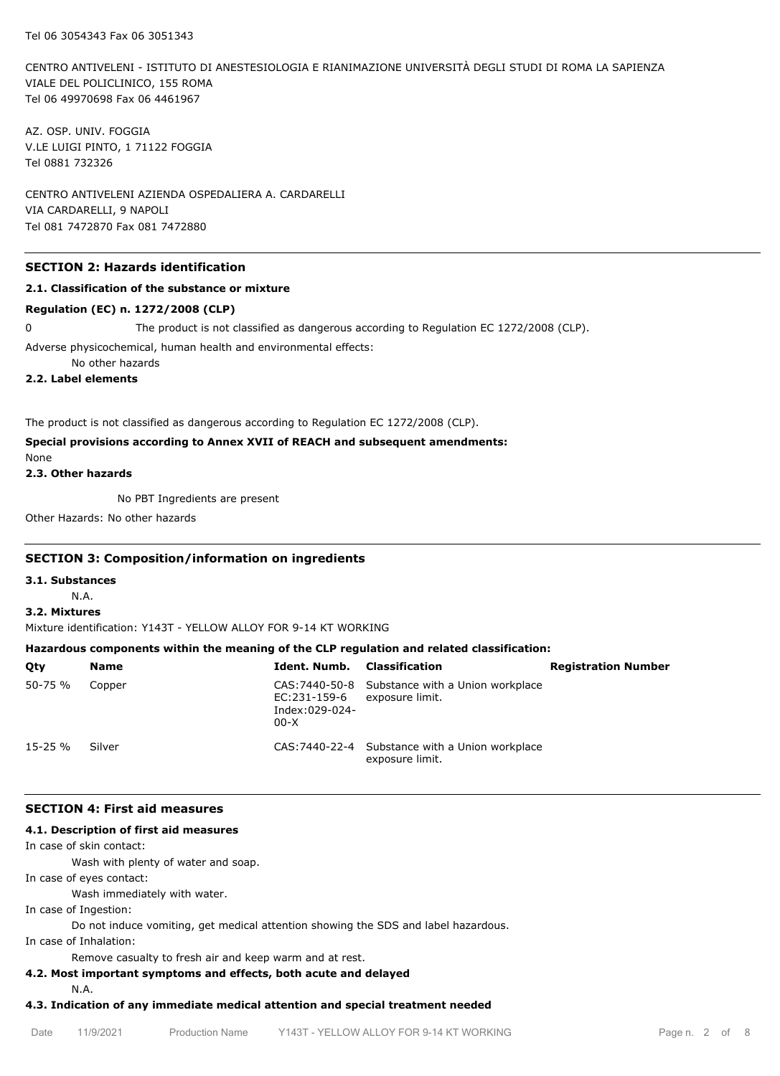CENTRO ANTIVELENI - ISTITUTO DI ANESTESIOLOGIA E RIANIMAZIONE UNIVERSITÀ DEGLI STUDI DI ROMA LA SAPIENZA VIALE DEL POLICLINICO, 155 ROMA Tel 06 49970698 Fax 06 4461967

AZ. OSP. UNIV. FOGGIA V.LE LUIGI PINTO, 1 71122 FOGGIA Tel 0881 732326

CENTRO ANTIVELENI AZIENDA OSPEDALIERA A. CARDARELLI VIA CARDARELLI, 9 NAPOLI Tel 081 7472870 Fax 081 7472880

## **SECTION 2: Hazards identification**

### **2.1. Classification of the substance or mixture**

#### **Regulation (EC) n. 1272/2008 (CLP)**

0 The product is not classified as dangerous according to Regulation EC 1272/2008 (CLP).

Adverse physicochemical, human health and environmental effects:

No other hazards

**2.2. Label elements**

The product is not classified as dangerous according to Regulation EC 1272/2008 (CLP).

# **Special provisions according to Annex XVII of REACH and subsequent amendments:**

None

**2.3. Other hazards**

No PBT Ingredients are present

Other Hazards: No other hazards

## **SECTION 3: Composition/information on ingredients**

**3.1. Substances**

N.A.

## **3.2. Mixtures**

Mixture identification: Y143T - YELLOW ALLOY FOR 9-14 KT WORKING

# **Hazardous components within the meaning of the CLP regulation and related classification:**

| Qty          | <b>Name</b> | <b>Ident. Numb.</b> Classification       |                                                                    | <b>Registration Number</b> |
|--------------|-------------|------------------------------------------|--------------------------------------------------------------------|----------------------------|
| 50-75 %      | Copper      | EC:231-159-6<br>Index:029-024-<br>$00-X$ | CAS: 7440-50-8 Substance with a Union workplace<br>exposure limit. |                            |
| $15 - 25 \%$ | Silver      |                                          | CAS: 7440-22-4 Substance with a Union workplace<br>exposure limit. |                            |

## **SECTION 4: First aid measures**

## **4.1. Description of first aid measures**

In case of skin contact:

Wash with plenty of water and soap.

In case of eyes contact:

Wash immediately with water.

In case of Ingestion:

Do not induce vomiting, get medical attention showing the SDS and label hazardous.

In case of Inhalation:

Remove casualty to fresh air and keep warm and at rest.

# **4.2. Most important symptoms and effects, both acute and delayed**

N.A.

## **4.3. Indication of any immediate medical attention and special treatment needed**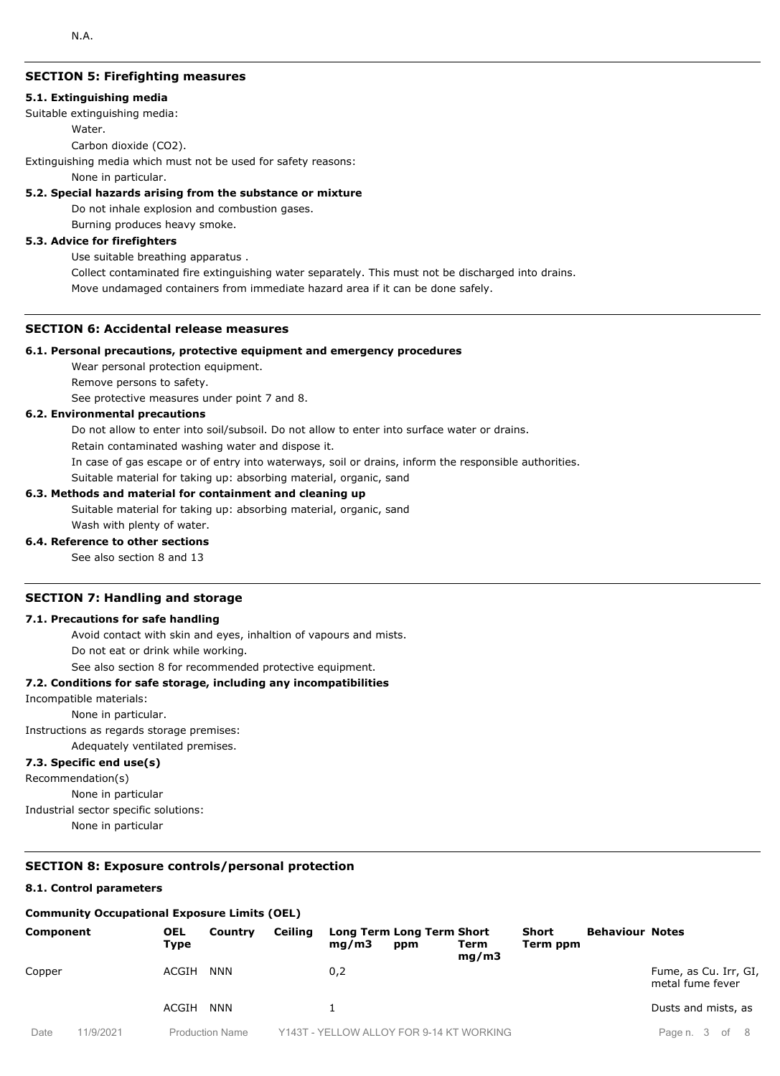# **SECTION 5: Firefighting measures**

#### **5.1. Extinguishing media**

Suitable extinguishing media:

Water.

Carbon dioxide (CO2).

Extinguishing media which must not be used for safety reasons:

None in particular.

#### **5.2. Special hazards arising from the substance or mixture**

Do not inhale explosion and combustion gases.

Burning produces heavy smoke.

## **5.3. Advice for firefighters**

Use suitable breathing apparatus .

Collect contaminated fire extinguishing water separately. This must not be discharged into drains. Move undamaged containers from immediate hazard area if it can be done safely.

## **SECTION 6: Accidental release measures**

#### **6.1. Personal precautions, protective equipment and emergency procedures**

Wear personal protection equipment.

Remove persons to safety.

See protective measures under point 7 and 8.

## **6.2. Environmental precautions**

Do not allow to enter into soil/subsoil. Do not allow to enter into surface water or drains.

Retain contaminated washing water and dispose it.

In case of gas escape or of entry into waterways, soil or drains, inform the responsible authorities.

Suitable material for taking up: absorbing material, organic, sand

#### **6.3. Methods and material for containment and cleaning up**

Suitable material for taking up: absorbing material, organic, sand Wash with plenty of water.

## **6.4. Reference to other sections**

See also section 8 and 13

## **SECTION 7: Handling and storage**

#### **7.1. Precautions for safe handling**

Avoid contact with skin and eyes, inhaltion of vapours and mists.

Do not eat or drink while working.

See also section 8 for recommended protective equipment.

## **7.2. Conditions for safe storage, including any incompatibilities**

Incompatible materials:

None in particular.

Instructions as regards storage premises:

Adequately ventilated premises.

## **7.3. Specific end use(s)**

Recommendation(s)

None in particular

Industrial sector specific solutions:

None in particular

#### **SECTION 8: Exposure controls/personal protection**

## **8.1. Control parameters**

## **Community Occupational Exposure Limits (OEL)**

| Component |           | <b>OEL</b><br>Type | Country                | Ceiling | mq/m3 | Long Term Long Term Short<br>ppm         | Term<br>mq/m3 | <b>Short</b><br>Term ppm | <b>Behaviour Notes</b> |                                           |
|-----------|-----------|--------------------|------------------------|---------|-------|------------------------------------------|---------------|--------------------------|------------------------|-------------------------------------------|
| Copper    |           | ACGIH              | <b>NNN</b>             |         | 0,2   |                                          |               |                          |                        | Fume, as Cu. Irr, GI,<br>metal fume fever |
|           |           | ACGIH              | <b>NNN</b>             |         |       |                                          |               |                          |                        | Dusts and mists, as                       |
| Date      | 11/9/2021 |                    | <b>Production Name</b> |         |       | Y143T - YELLOW ALLOY FOR 9-14 KT WORKING |               |                          |                        | Page n. 3 of 8                            |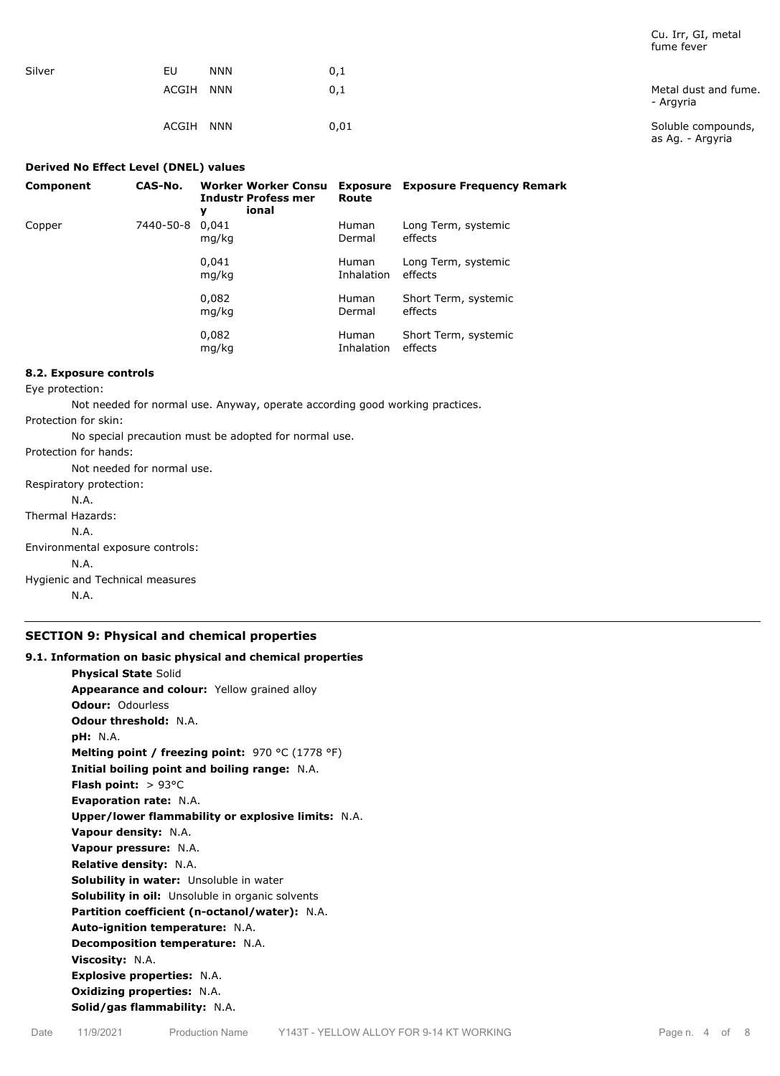|        |                     |      | Turrie Tever                           |
|--------|---------------------|------|----------------------------------------|
| Silver | EU<br><b>NNN</b>    | 0,1  |                                        |
|        | ACGIH<br><b>NNN</b> | 0,1  | Metal dust and fume.<br>- Argyria      |
|        | ACGIH<br><b>NNN</b> | 0,01 | Soluble compounds,<br>as Ag. - Argyria |

#### **Derived No Effect Level (DNEL) values**

| Component | CAS-No.   | Worker Worker Consu<br><b>Industr Profess mer</b><br>ional<br>у | Route                      | <b>Exposure</b> Exposure Frequency Remark |
|-----------|-----------|-----------------------------------------------------------------|----------------------------|-------------------------------------------|
| Copper    | 7440-50-8 | 0.041<br>mg/kg                                                  | <b>Human</b><br>Dermal     | Long Term, systemic<br>effects            |
|           |           | 0,041<br>mg/kg                                                  | <b>Human</b><br>Inhalation | Long Term, systemic<br>effects            |
|           |           | 0,082<br>mg/kg                                                  | <b>Human</b><br>Dermal     | Short Term, systemic<br>effects           |
|           |           | 0,082<br>mg/kg                                                  | <b>Human</b><br>Inhalation | Short Term, systemic<br>effects           |

## **8.2. Exposure controls**

Eye protection:

Not needed for normal use. Anyway, operate according good working practices.

Protection for skin:

No special precaution must be adopted for normal use.

Protection for hands:

Not needed for normal use. Respiratory protection: N.A. Thermal Hazards: N.A. Environmental exposure controls: N.A.

Hygienic and Technical measures N.A.

## **SECTION 9: Physical and chemical properties**

# **9.1. Information on basic physical and chemical properties Physical State** Solid **Appearance and colour:** Yellow grained alloy **Odour:** Odourless **Odour threshold:** N.A. **pH:** N.A. **Melting point / freezing point:** 970 °C (1778 °F) **Initial boiling point and boiling range:** N.A. **Flash point:** > 93°C **Evaporation rate:** N.A. **Upper/lower flammability or explosive limits:** N.A. **Vapour density:** N.A. **Vapour pressure:** N.A. **Relative density:** N.A. **Solubility in water:** Unsoluble in water **Solubility in oil:** Unsoluble in organic solvents **Partition coefficient (n-octanol/water):** N.A. **Auto-ignition temperature:** N.A. **Decomposition temperature:** N.A. **Viscosity:** N.A. **Explosive properties:** N.A. **Oxidizing properties:** N.A. **Solid/gas flammability:** N.A.

Cu. Irr, GI, metal fume fever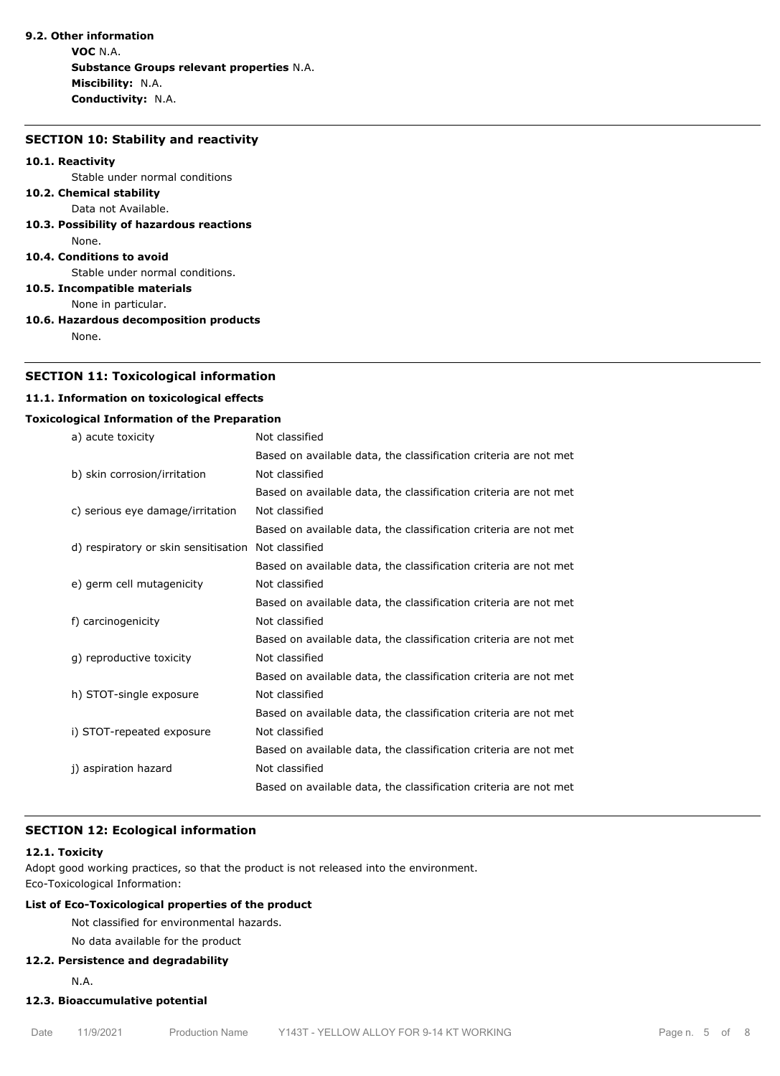# **9.2. Other information**

**VOC** N.A. **Substance Groups relevant properties** N.A. **Miscibility:** N.A. **Conductivity:** N.A.

#### **SECTION 10: Stability and reactivity**

#### **10.1. Reactivity**

Stable under normal conditions

#### **10.2. Chemical stability** Data not Available.

**10.3. Possibility of hazardous reactions** None.

#### **10.4. Conditions to avoid**

Stable under normal conditions.

**10.5. Incompatible materials**

None in particular.

**10.6. Hazardous decomposition products**

None.

## **SECTION 11: Toxicological information**

## **11.1. Information on toxicological effects**

## **Toxicological Information of the Preparation**

| a) acute toxicity                    | Not classified                                                   |
|--------------------------------------|------------------------------------------------------------------|
|                                      | Based on available data, the classification criteria are not met |
| b) skin corrosion/irritation         | Not classified                                                   |
|                                      | Based on available data, the classification criteria are not met |
| c) serious eye damage/irritation     | Not classified                                                   |
|                                      | Based on available data, the classification criteria are not met |
| d) respiratory or skin sensitisation | Not classified                                                   |
|                                      | Based on available data, the classification criteria are not met |
| e) germ cell mutagenicity            | Not classified                                                   |
|                                      | Based on available data, the classification criteria are not met |
| f) carcinogenicity                   | Not classified                                                   |
|                                      | Based on available data, the classification criteria are not met |
| g) reproductive toxicity             | Not classified                                                   |
|                                      | Based on available data, the classification criteria are not met |
| h) STOT-single exposure              | Not classified                                                   |
|                                      | Based on available data, the classification criteria are not met |
| i) STOT-repeated exposure            | Not classified                                                   |
|                                      | Based on available data, the classification criteria are not met |
| j) aspiration hazard                 | Not classified                                                   |
|                                      | Based on available data, the classification criteria are not met |

# **SECTION 12: Ecological information**

## **12.1. Toxicity**

Adopt good working practices, so that the product is not released into the environment. Eco-Toxicological Information:

# **List of Eco-Toxicological properties of the product**

Not classified for environmental hazards.

# No data available for the product

## **12.2. Persistence and degradability**

N.A.

# **12.3. Bioaccumulative potential**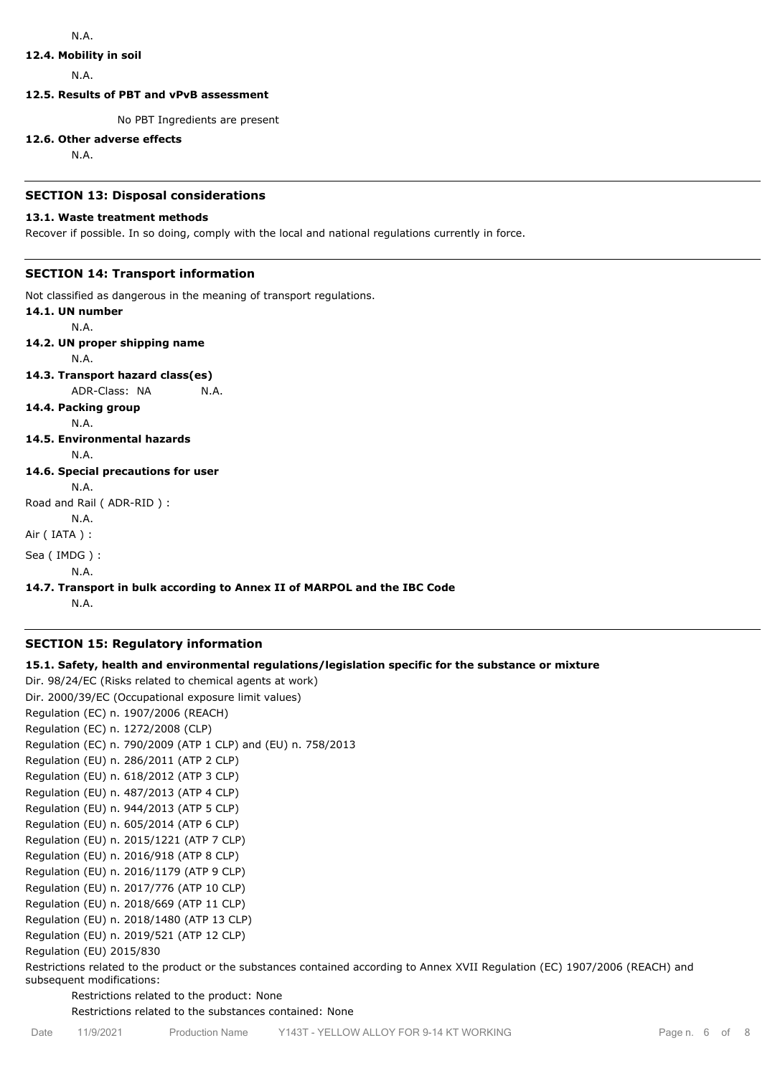## **12.4. Mobility in soil**

N.A.

**12.5. Results of PBT and vPvB assessment**

No PBT Ingredients are present

#### **12.6. Other adverse effects**

N.A.

## **SECTION 13: Disposal considerations**

## **13.1. Waste treatment methods**

Recover if possible. In so doing, comply with the local and national regulations currently in force.

# **SECTION 14: Transport information**

Not classified as dangerous in the meaning of transport regulations.

**14.1. UN number** N.A. **14.2. UN proper shipping name** N.A. **14.3. Transport hazard class(es)** ADR-Class: NA N.A. **14.4. Packing group** N.A. **14.5. Environmental hazards** N.A. **14.6. Special precautions for user** N.A. Road and Rail ( ADR-RID ) : N.A. Air ( IATA ) : Sea ( IMDG ) : N.A.

# **14.7. Transport in bulk according to Annex II of MARPOL and the IBC Code**

N.A.

## **SECTION 15: Regulatory information**

## **15.1. Safety, health and environmental regulations/legislation specific for the substance or mixture**

Dir. 98/24/EC (Risks related to chemical agents at work) Dir. 2000/39/EC (Occupational exposure limit values) Regulation (EC) n. 1907/2006 (REACH) Regulation (EC) n. 1272/2008 (CLP) Regulation (EC) n. 790/2009 (ATP 1 CLP) and (EU) n. 758/2013 Regulation (EU) n. 286/2011 (ATP 2 CLP) Regulation (EU) n. 618/2012 (ATP 3 CLP) Regulation (EU) n. 487/2013 (ATP 4 CLP) Regulation (EU) n. 944/2013 (ATP 5 CLP) Regulation (EU) n. 605/2014 (ATP 6 CLP) Regulation (EU) n. 2015/1221 (ATP 7 CLP) Regulation (EU) n. 2016/918 (ATP 8 CLP) Regulation (EU) n. 2016/1179 (ATP 9 CLP) Regulation (EU) n. 2017/776 (ATP 10 CLP) Regulation (EU) n. 2018/669 (ATP 11 CLP) Regulation (EU) n. 2018/1480 (ATP 13 CLP) Regulation (EU) n. 2019/521 (ATP 12 CLP) Regulation (EU) 2015/830

Restrictions related to the product or the substances contained according to Annex XVII Regulation (EC) 1907/2006 (REACH) and subsequent modifications:

Restrictions related to the product: None

Restrictions related to the substances contained: None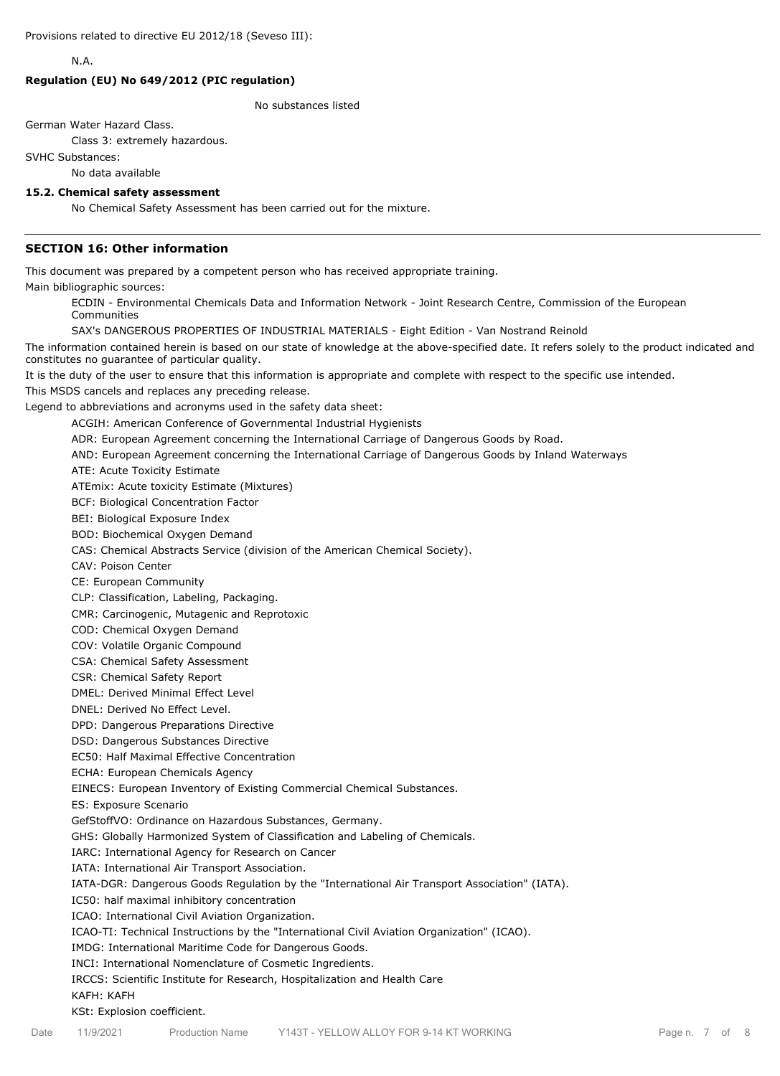N.A.

## **Regulation (EU) No 649/2012 (PIC regulation)**

No substances listed

German Water Hazard Class.

Class 3: extremely hazardous.

SVHC Substances:

No data available

#### **15.2. Chemical safety assessment**

No Chemical Safety Assessment has been carried out for the mixture.

## **SECTION 16: Other information**

This document was prepared by a competent person who has received appropriate training.

Main bibliographic sources:

ECDIN - Environmental Chemicals Data and Information Network - Joint Research Centre, Commission of the European Communities

SAX's DANGEROUS PROPERTIES OF INDUSTRIAL MATERIALS - Eight Edition - Van Nostrand Reinold

The information contained herein is based on our state of knowledge at the above-specified date. It refers solely to the product indicated and constitutes no guarantee of particular quality.

It is the duty of the user to ensure that this information is appropriate and complete with respect to the specific use intended.

This MSDS cancels and replaces any preceding release.

Legend to abbreviations and acronyms used in the safety data sheet:

ACGIH: American Conference of Governmental Industrial Hygienists

ADR: European Agreement concerning the International Carriage of Dangerous Goods by Road.

AND: European Agreement concerning the International Carriage of Dangerous Goods by Inland Waterways

ATE: Acute Toxicity Estimate

ATEmix: Acute toxicity Estimate (Mixtures)

BCF: Biological Concentration Factor

BEI: Biological Exposure Index

BOD: Biochemical Oxygen Demand

CAS: Chemical Abstracts Service (division of the American Chemical Society).

CAV: Poison Center

CE: European Community

CLP: Classification, Labeling, Packaging.

CMR: Carcinogenic, Mutagenic and Reprotoxic

COD: Chemical Oxygen Demand

COV: Volatile Organic Compound

CSA: Chemical Safety Assessment

CSR: Chemical Safety Report

DMEL: Derived Minimal Effect Level

DNEL: Derived No Effect Level.

DPD: Dangerous Preparations Directive

DSD: Dangerous Substances Directive

EC50: Half Maximal Effective Concentration

ECHA: European Chemicals Agency

EINECS: European Inventory of Existing Commercial Chemical Substances.

ES: Exposure Scenario

GefStoffVO: Ordinance on Hazardous Substances, Germany.

GHS: Globally Harmonized System of Classification and Labeling of Chemicals.

IARC: International Agency for Research on Cancer

IATA: International Air Transport Association.

IATA-DGR: Dangerous Goods Regulation by the "International Air Transport Association" (IATA).

IC50: half maximal inhibitory concentration

ICAO: International Civil Aviation Organization.

ICAO-TI: Technical Instructions by the "International Civil Aviation Organization" (ICAO).

IMDG: International Maritime Code for Dangerous Goods.

INCI: International Nomenclature of Cosmetic Ingredients.

IRCCS: Scientific Institute for Research, Hospitalization and Health Care

#### KAFH: KAFH

KSt: Explosion coefficient.